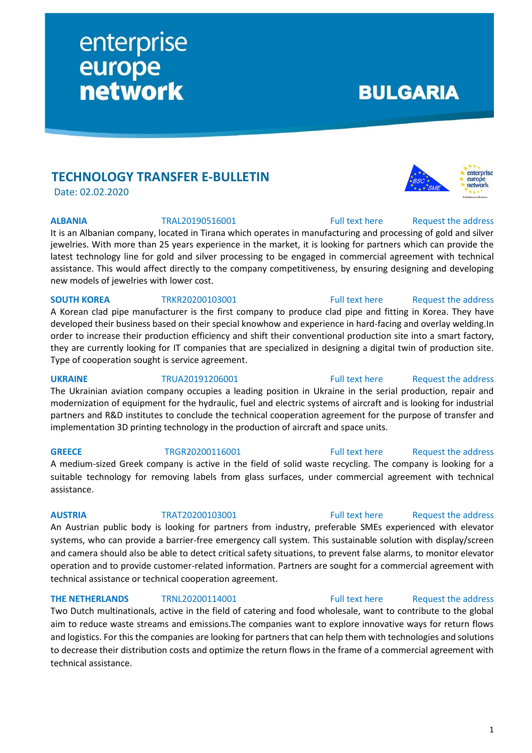# **TECHNOLOGY TRANSFER E-BULLETIN**

enterprise

europe<br>network

Date: 02.02.2020

It is an Albanian company, located in Tirana which operates in manufacturing and processing of gold and silver jewelries. With more than 25 years experience in the market, it is looking for partners which can provide the latest technology line for gold and silver processing to be engaged in commercial agreement with technical assistance. This would affect directly to the company competitiveness, by ensuring designing and developing new models of jewelries with lower cost.

### **SOUTH KOREA** TRKR20200103001 [Full text here](https://een.ec.europa.eu/tools/services/PRO/Profile/Detail/64b10a69-94b3-4760-bee0-6c1d2f97afef) Request the address

A Korean clad pipe manufacturer is the first company to produce clad pipe and fitting in Korea. They have developed their business based on their special knowhow and experience in hard-facing and overlay welding.In order to increase their production efficiency and shift their conventional production site into a smart factory, they are currently looking for IT companies that are specialized in designing a digital twin of production site. Type of cooperation sought is service agreement.

**UKRAINE** TRUA20191206001 [Full text here](https://een.ec.europa.eu/tools/services/PRO/Profile/Detail/ad619153-e308-41bf-9221-819825cfae8b) Request [the address](http://www.een.bg/index.php?option=com_rsform&formId=13) The Ukrainian aviation company occupies a leading position in Ukraine in the serial production, repair and modernization of equipment for the hydraulic, fuel and electric systems of aircraft and is looking for industrial partners and R&D institutes to conclude the technical cooperation agreement for the purpose of transfer and implementation 3D printing technology in the production of aircraft and space units.

### **GREECE** TRGR20200116001 [Full text here](https://een.ec.europa.eu/tools/services/PRO/Profile/Detail/12467883-d291-4e89-89e2-ca27a5a6c8dd) Request [the address](http://www.een.bg/index.php?option=com_rsform&formId=13) A medium-sized Greek company is active in the field of solid waste recycling. The company is looking for a suitable technology for removing labels from glass surfaces, under commercial agreement with technical assistance.

An Austrian public body is looking for partners from industry, preferable SMEs experienced with elevator systems, who can provide a barrier-free emergency call system. This sustainable solution with display/screen and camera should also be able to detect critical safety situations, to prevent false alarms, to monitor elevator operation and to provide customer-related information. Partners are sought for a commercial agreement with technical assistance or technical cooperation agreement.

**THE NETHERLANDS** TRNL20200114001 [Full text here](https://een.ec.europa.eu/tools/services/PRO/Profile/Detail/8fffe34c-8cdc-4fc2-ac58-dc5e184841e2) Request the address

### Two Dutch multinationals, active in the field of catering and food wholesale, want to contribute to the global aim to reduce waste streams and emissions.The companies want to explore innovative ways for return flows and logistics. For this the companies are looking for partners that can help them with technologies and solutions to decrease their distribution costs and optimize the return flows in the frame of a commercial agreement with technical assistance.

### **AUSTRIA** TRAT20200103001 [Full text here](https://een.ec.europa.eu/tools/services/PRO/Profile/Detail/a71d75f0-0761-4392-b29e-33fe7fb77719) Request [the address](http://www.een.bg/index.php?option=com_rsform&formId=13)

# **ALBANIA** TRAL20190516001 [Full text here](https://een.ec.europa.eu/tools/services/PRO/Profile/Detail/cb5f58e0-4fdf-47fb-b52e-632a8c65eef8) Request [the address](http://www.een.bg/index.php?option=com_rsform&formId=13)



# **BULGARIA**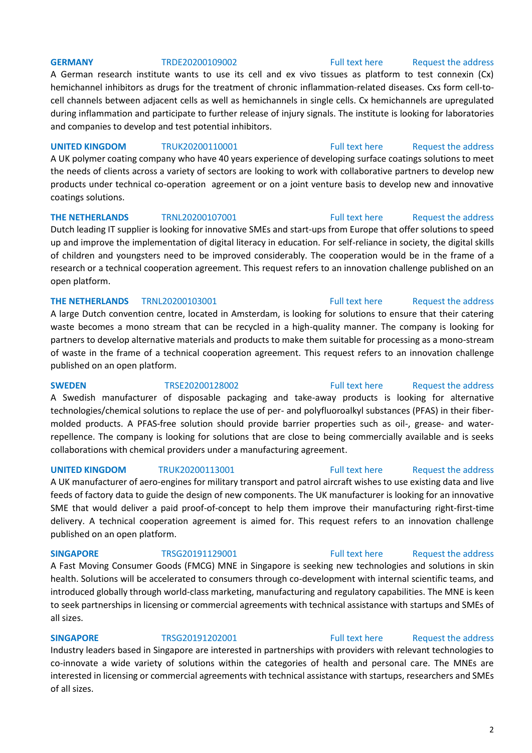### **GERMANY** TRDE20200109002 [Full text here](https://een.ec.europa.eu/tools/services/PRO/Profile/Detail/c0f7a07d-a19e-437d-9227-2b77c0debadc) Request [the address](http://www.een.bg/index.php?option=com_rsform&formId=13)

A German research institute wants to use its cell and ex vivo tissues as platform to test connexin (Cx) hemichannel inhibitors as drugs for the treatment of chronic inflammation-related diseases. Cxs form cell-tocell channels between adjacent cells as well as hemichannels in single cells. Cx hemichannels are upregulated during inflammation and participate to further release of injury signals. The institute is looking for laboratories and companies to develop and test potential inhibitors.

### **UNITED KINGDOM** TRUK20200110001 [Full text here](https://een.ec.europa.eu/tools/services/PRO/Profile/Detail/ffd43e83-e6c8-46bd-9574-69ebae10c89c) Request [the address](http://www.een.bg/index.php?option=com_rsform&formId=13)

A UK polymer coating company who have 40 years experience of developing surface coatings solutions to meet the needs of clients across a variety of sectors are looking to work with collaborative partners to develop new products under technical co-operation agreement or on a joint venture basis to develop new and innovative coatings solutions.

### **THE NETHERLANDS** TRNL20200107001 [Full text here](https://een.ec.europa.eu/tools/services/PRO/Profile/Detail/b8eef356-f08b-4d29-a989-72f03d15e6aa) Request the address

Dutch leading IT supplier is looking for innovative SMEs and start-ups from Europe that offer solutions to speed up and improve the implementation of digital literacy in education. For self-reliance in society, the digital skills of children and youngsters need to be improved considerably. The cooperation would be in the frame of a research or a technical cooperation agreement. This request refers to an innovation challenge published on an open platform.

### **THE NETHERLANDS** TRNL20200103001 **Full text here** Request the address

A large Dutch convention centre, located in Amsterdam, is looking for solutions to ensure that their catering waste becomes a mono stream that can be recycled in a high-quality manner. The company is looking for partners to develop alternative materials and products to make them suitable for processing as a mono-stream of waste in the frame of a technical cooperation agreement. This request refers to an innovation challenge published on an open platform.

A Swedish manufacturer of disposable packaging and take-away products is looking for alternative technologies/chemical solutions to replace the use of per- and polyfluoroalkyl substances (PFAS) in their fibermolded products. A PFAS-free solution should provide barrier properties such as oil-, grease- and waterrepellence. The company is looking for solutions that are close to being commercially available and is seeks collaborations with chemical providers under a manufacturing agreement.

### **UNITED KINGDOM** TRUK20200113001 [Full text here](https://een.ec.europa.eu/tools/services/PRO/Profile/Detail/84955158-b7c9-4cdc-ba7c-7ee6bf321cd4) Request the address

A UK manufacturer of aero-engines for military transport and patrol aircraft wishes to use existing data and live feeds of factory data to guide the design of new components. The UK manufacturer is looking for an innovative SME that would deliver a paid proof-of-concept to help them improve their manufacturing right-first-time delivery. A technical cooperation agreement is aimed for. This request refers to an innovation challenge published on an open platform.

A Fast Moving Consumer Goods (FMCG) MNE in Singapore is seeking new technologies and solutions in skin health. Solutions will be accelerated to consumers through co-development with internal scientific teams, and introduced globally through world-class marketing, manufacturing and regulatory capabilities. The MNE is keen to seek partnerships in licensing or commercial agreements with technical assistance with startups and SMEs of all sizes.

# **SINGAPORE** TRSG20191202001 [Full text here](https://een.ec.europa.eu/tools/services/PRO/Profile/Detail/f9398523-8918-4462-909a-2986893d4a9a) Request the address

Industry leaders based in Singapore are interested in partnerships with providers with relevant technologies to co-innovate a wide variety of solutions within the categories of health and personal care. The MNEs are interested in licensing or commercial agreements with technical assistance with startups, researchers and SMEs of all sizes.

# **SWEDEN** TRSE20200128002 [Full text here](https://een.ec.europa.eu/tools/services/PRO/Profile/Detail/090c8b0f-b55b-42da-b50f-b676e40562e1) Request [the address](http://www.een.bg/index.php?option=com_rsform&formId=13)

### **SINGAPORE** TRSG20191129001 [Full text here](https://een.ec.europa.eu/tools/services/PRO/Profile/Detail/9f52df75-d4e6-42b8-a250-94a41b6a7eeb) Request the address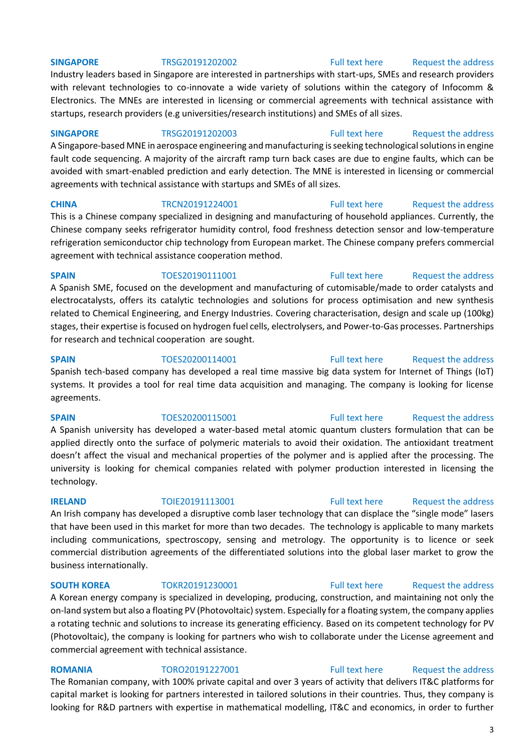### **SINGAPORE** TRSG20191202002 [Full text here](https://een.ec.europa.eu/tools/services/PRO/Profile/Detail/33f3639a-7a76-42d2-add8-571348f54821) Request the address

Industry leaders based in Singapore are interested in partnerships with start-ups, SMEs and research providers with relevant technologies to co-innovate a wide variety of solutions within the category of Infocomm & Electronics. The MNEs are interested in licensing or commercial agreements with technical assistance with startups, research providers (e.g universities/research institutions) and SMEs of all sizes.

**SINGAPORE** TRSG20191202003 [Full text here](https://een.ec.europa.eu/tools/services/PRO/Profile/Detail/2cd2af67-2775-45bb-9810-47106b45aed6) Request the address A Singapore-based MNE in aerospace engineering and manufacturing is seeking technological solutions in engine fault code sequencing. A majority of the aircraft ramp turn back cases are due to engine faults, which can be avoided with smart-enabled prediction and early detection. The MNE is interested in licensing or commercial agreements with technical assistance with startups and SMEs of all sizes.

**CHINA** TRCN20191224001 [Full text here](https://een.ec.europa.eu/tools/services/PRO/Profile/Detail/f27a6768-e3e9-43de-b989-7c6a7956711f) Request the address This is a Chinese company specialized in designing and manufacturing of household appliances. Currently, the Chinese company seeks refrigerator humidity control, food freshness detection sensor and low-temperature refrigeration semiconductor chip technology from European market. The Chinese company prefers commercial agreement with technical assistance cooperation method.

### **SPAIN** TOES20190111001 [Full text here](https://een.ec.europa.eu/tools/services/PRO/Profile/Detail/7d45997b-5445-4d05-a34b-501b4cc31b2e) Request the address

A Spanish SME, focused on the development and manufacturing of cutomisable/made to order catalysts and electrocatalysts, offers its catalytic technologies and solutions for process optimisation and new synthesis related to Chemical Engineering, and Energy Industries. Covering characterisation, design and scale up (100kg) stages, their expertise is focused on hydrogen fuel cells, electrolysers, and Power-to-Gas processes. Partnerships for research and technical cooperation are sought.

### **SPAIN** TOES20200114001 [Full text here](https://een.ec.europa.eu/tools/services/PRO/Profile/Detail/561d0c97-9c5b-4d03-b366-186df7a9d980) Request the address

Spanish tech-based company has developed a real time massive big data system for Internet of Things (IoT) systems. It provides a tool for real time data acquisition and managing. The company is looking for license agreements.

## A Spanish university has developed a water-based metal atomic quantum clusters formulation that can be applied directly onto the surface of polymeric materials to avoid their oxidation. The antioxidant treatment doesn't affect the visual and mechanical properties of the polymer and is applied after the processing. The university is looking for chemical companies related with polymer production interested in licensing the technology.

### **IRELAND** TOIE20191113001 [Full text here](https://een.ec.europa.eu/tools/services/PRO/Profile/Detail/f5b27921-50ba-491a-8206-c65799d1f1e4) Request the address

An Irish company has developed a disruptive comb laser technology that can displace the "single mode" lasers that have been used in this market for more than two decades. The technology is applicable to many markets including communications, spectroscopy, sensing and metrology. The opportunity is to licence or seek commercial distribution agreements of the differentiated solutions into the global laser market to grow the business internationally.

**SOUTH KOREA** TOKR20191230001 [Full text here](https://een.ec.europa.eu/tools/services/PRO/Profile/Detail/6c512a62-0cf0-4a44-8ee2-33bd24abd4a1) Request the address

A Korean energy company is specialized in developing, producing, construction, and maintaining not only the on-land system but also a floating PV (Photovoltaic) system. Especially for a floating system, the company applies a rotating technic and solutions to increase its generating efficiency. Based on its competent technology for PV (Photovoltaic), the company is looking for partners who wish to collaborate under the License agreement and commercial agreement with technical assistance.

### **ROMANIA** TORO20191227001 [Full text here](https://een.ec.europa.eu/tools/services/PRO/Profile/Detail/77728ebf-7c0e-41b0-a70c-708c07c106c4) Request the address The Romanian company, with 100% private capital and over 3 years of activity that delivers IT&C platforms for capital market is looking for partners interested in tailored solutions in their countries. Thus, they company is looking for R&D partners with expertise in mathematical modelling, IT&C and economics, in order to further

# **SPAIN** TOES20200115001 [Full text here](https://een.ec.europa.eu/tools/services/PRO/Profile/Detail/48f25a0f-cbad-4b12-b4da-221b1b895b22) Request the address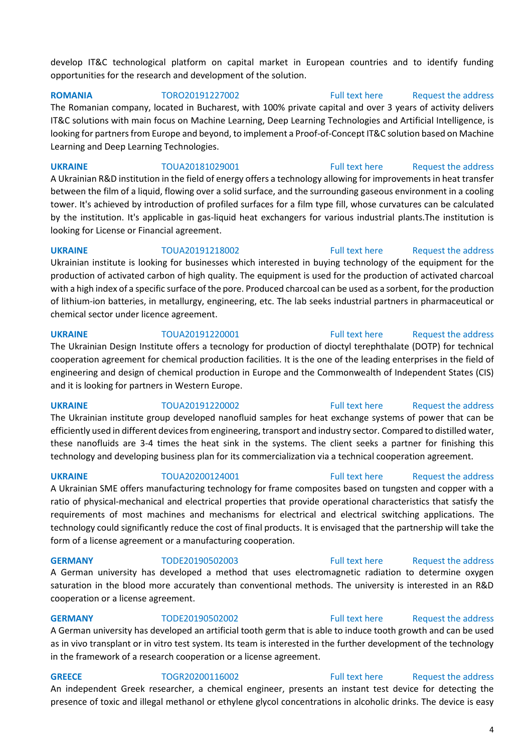develop IT&C technological platform on capital market in European countries and to identify funding opportunities for the research and development of the solution.

**ROMANIA** TORO20191227002 [Full text here](https://een.ec.europa.eu/tools/services/PRO/Profile/Detail/e595c509-eb7d-4d05-aa60-1f92495b28d8) [Request the address](http://www.een.bg/index.php?option=com_rsform&formId=13)  The Romanian company, located in Bucharest, with 100% private capital and over 3 years of activity delivers IT&C solutions with main focus on Machine Learning, Deep Learning Technologies and Artificial Intelligence, is looking for partners from Europe and beyond, to implement a Proof-of-Concept IT&C solution based on Machine Learning and Deep Learning Technologies.

**UKRAINE** TOUA20181029001 [Full text here](https://een.ec.europa.eu/tools/services/PRO/Profile/Detail/5e0bdecb-79cd-48f5-9f2a-0e18b7cb97e9) Request the address A Ukrainian R&D institution in the field of energy offers a technology allowing for improvements in heat transfer between the film of a liquid, flowing over a solid surface, and the surrounding gaseous environment in a cooling tower. It's achieved by introduction of profiled surfaces for a film type fill, whose curvatures can be calculated by the institution. It's applicable in gas-liquid heat exchangers for various industrial plants.The institution is looking for License or Financial agreement.

**UKRAINE** TOUA20191218002 [Full text here](https://een.ec.europa.eu/tools/services/PRO/Profile/Detail/151a36ad-bb77-4558-beb9-429790a30cc1) [Request the address](http://www.een.bg/index.php?option=com_rsform&formId=13)  Ukrainian institute is looking for businesses which interested in buying technology of the equipment for the production of activated carbon of high quality. The equipment is used for the production of activated charcoal with a high index of a specific surface of the pore. Produced charcoal can be used as a sorbent, for the production of lithium-ion batteries, in metallurgy, engineering, etc. The lab seeks industrial partners in pharmaceutical or chemical sector under licence agreement.

### **UKRAINE** TOUA20191220001 [Full text here](https://een.ec.europa.eu/tools/services/PRO/Profile/Detail/98dc43a2-cc8e-47c6-9741-1e61f6608fea) Request the address

The Ukrainian Design Institute offers a tecnology for production of dioctyl terephthalate (DOTP) for technical cooperation agreement for chemical production facilities. It is the one of the leading enterprises in the field of engineering and design of chemical production in Europe and the Commonwealth of Independent States (CIS) and it is looking for partners in Western Europe.

The Ukrainian institute group developed nanofluid samples for heat exchange systems of power that can be efficiently used in different devices from engineering, transport and industry sector. Compared to distilled water, these nanofluids are 3-4 times the heat sink in the systems. The client seeks a partner for finishing this technology and developing business plan for its commercialization via a technical cooperation agreement.

**UKRAINE** TOUA20200124001 [Full text here](https://een.ec.europa.eu/tools/services/PRO/Profile/Detail/79314d45-cf52-47d9-9f25-7814f3088823) Request the address

A Ukrainian SME offers manufacturing technology for frame composites based on tungsten and copper with a ratio of physical-mechanical and electrical properties that provide operational characteristics that satisfy the requirements of most machines and mechanisms for electrical and electrical switching applications. The technology could significantly reduce the cost of final products. It is envisaged that the partnership will take the form of a license agreement or a manufacturing cooperation.

**GERMANY** TODE20190502003 [Full text here](https://een.ec.europa.eu/tools/services/PRO/Profile/Detail/97e1fa59-2ca2-4ddb-a044-c0fd8a551740) Request the address

A German university has developed a method that uses electromagnetic radiation to determine oxygen saturation in the blood more accurately than conventional methods. The university is interested in an R&D cooperation or a license agreement.

**GERMANY** TODE20190502002 [Full text here](https://een.ec.europa.eu/tools/services/PRO/Profile/Detail/c41897e5-22a3-4367-a02a-8f25f76ba54b) Request the address

A German university has developed an artificial tooth germ that is able to induce tooth growth and can be used as in vivo transplant or in vitro test system. Its team is interested in the further development of the technology in the framework of a research cooperation or a license agreement.

**GREECE** TOGR20200116002 [Full text here](https://een.ec.europa.eu/tools/services/PRO/Profile/Detail/7ef607ed-5bdd-40c3-a7a6-ff09520351cc) Request the address An independent Greek researcher, a chemical engineer, presents an instant test device for detecting the presence of toxic and illegal methanol or ethylene glycol concentrations in alcoholic drinks. The device is easy

### 4

# **UKRAINE** TOUA20191220002 [Full text here](https://een.ec.europa.eu/tools/services/PRO/Profile/Detail/c6148d48-eeec-453d-a968-f1bf75b60295) [Request the address](http://www.een.bg/index.php?option=com_rsform&formId=13)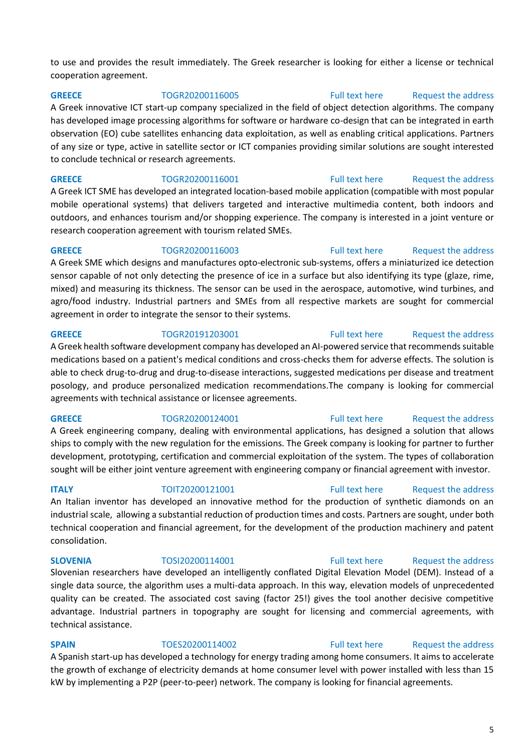to use and provides the result immediately. The Greek researcher is looking for either a license or technical cooperation agreement.

### **GREECE** TOGR20200116005 [Full text here](https://een.ec.europa.eu/tools/services/PRO/Profile/Detail/3a0d50d5-70ad-4f5a-8c36-3165ce29ed8e) [Request the address](http://www.een.bg/index.php?option=com_rsform&formId=13)

A Greek innovative ICT start-up company specialized in the field of object detection algorithms. The company has developed image processing algorithms for software or hardware co-design that can be integrated in earth observation (EO) cube satellites enhancing data exploitation, as well as enabling critical applications. Partners of any size or type, active in satellite sector or ICT companies providing similar solutions are sought interested to conclude technical or research agreements.

**GREECE** TOGR20200116001 [Full text here](https://een.ec.europa.eu/tools/services/PRO/Profile/Detail/1b83faca-01a9-4c10-8926-cb7dd056bf23) Request the address A Greek ICT SME has developed an integrated location-based mobile application (compatible with most popular mobile operational systems) that delivers targeted and interactive multimedia content, both indoors and outdoors, and enhances tourism and/or shopping experience. The company is interested in a joint venture or research cooperation agreement with tourism related SMEs.

**GREECE** TOGR20200116003 [Full text here](https://een.ec.europa.eu/tools/services/PRO/Profile/Detail/97721e59-0113-4063-a001-3c68d4dad99c) Request the address A Greek SME which designs and manufactures opto-electronic sub-systems, offers a miniaturized ice detection sensor capable of not only detecting the presence of ice in a surface but also identifying its type (glaze, rime, mixed) and measuring its thickness. The sensor can be used in the aerospace, automotive, wind turbines, and agro/food industry. Industrial partners and SMEs from all respective markets are sought for commercial agreement in order to integrate the sensor to their systems.

### **GREECE** TOGR20191203001 [Full text here](https://een.ec.europa.eu/tools/services/PRO/Profile/Detail/792c5709-01d1-4d7b-af4b-a6ae9c66c463) Request the address A Greek health software development company has developed an AI-powered service that recommends suitable medications based on a patient's medical conditions and cross-checks them for adverse effects. The solution is able to check drug-to-drug and drug-to-disease interactions, suggested medications per disease and treatment posology, and produce personalized medication recommendations.The company is looking for commercial agreements with technical assistance or licensee agreements.

### **GREECE** TOGR20200124001 [Full text here](https://een.ec.europa.eu/tools/services/PRO/Profile/Detail/62b71245-8db8-4a11-95c0-5c8a4589be66) Request the address

# A Greek engineering company, dealing with environmental applications, has designed a solution that allows ships to comply with the new regulation for the emissions. The Greek company is looking for partner to further development, prototyping, certification and commercial exploitation of the system. The types of collaboration sought will be either joint venture agreement with engineering company or financial agreement with investor.

# An Italian inventor has developed an innovative method for the production of synthetic diamonds on an industrial scale, allowing a substantial reduction of production times and costs. Partners are sought, under both technical cooperation and financial agreement, for the development of the production machinery and patent consolidation.

**SLOVENIA** TOSI20200114001 [Full text here](https://een.ec.europa.eu/tools/services/PRO/Profile/Detail/c38c21be-dba4-4cd2-89be-9e5ef441f70e) Request the address Slovenian researchers have developed an intelligently conflated Digital Elevation Model (DEM). Instead of a single data source, the algorithm uses a multi-data approach. In this way, elevation models of unprecedented quality can be created. The associated cost saving (factor 25!) gives the tool another decisive competitive advantage. Industrial partners in topography are sought for licensing and commercial agreements, with technical assistance.

**SPAIN** TOES20200114002 [Full text here](https://een.ec.europa.eu/tools/services/PRO/Profile/Detail/3c62eff9-f557-4d36-bf26-c4be13a15c7b) Request the address A Spanish start-up has developed a technology for energy trading among home consumers. It aims to accelerate the growth of exchange of electricity demands at home consumer level with power installed with less than 15 kW by implementing a P2P (peer-to-peer) network. The company is looking for financial agreements.

### 5

### **ITALY TOIT20200121001** [Full text here](https://een.ec.europa.eu/tools/services/PRO/Profile/Detail/db25fecf-1052-4eed-a872-234f3d786aac) Request the address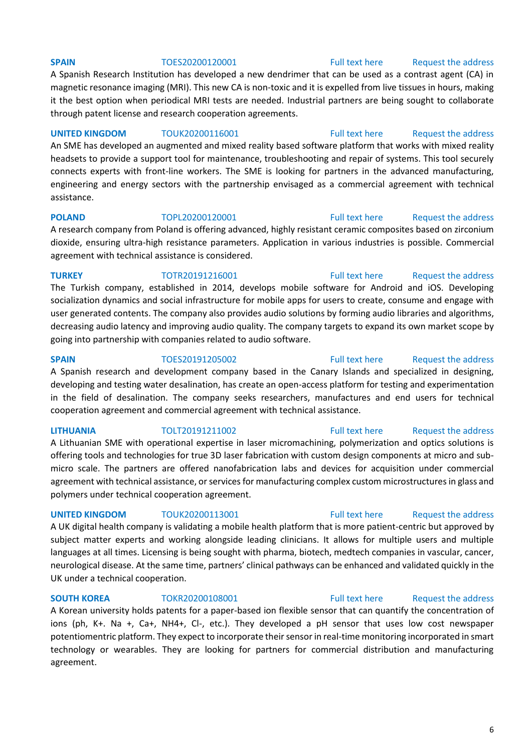### **SPAIN** TOES20200120001 [Full text here](https://een.ec.europa.eu/tools/services/PRO/Profile/Detail/7ffee2fa-89c8-4a06-a92f-f49cb728a4b3) Request the address

# A Spanish Research Institution has developed a new dendrimer that can be used as a contrast agent (CA) in magnetic resonance imaging (MRI). This new CA is non-toxic and it is expelled from live tissues in hours, making it the best option when periodical MRI tests are needed. Industrial partners are being sought to collaborate through patent license and research cooperation agreements.

**UNITED KINGDOM** TOUK20200116001 [Full text here](https://een.ec.europa.eu/tools/services/PRO/Profile/Detail/bddfea5b-a466-4d95-9a9e-90432b00eab3) Request the address An SME has developed an augmented and mixed reality based software platform that works with mixed reality headsets to provide a support tool for maintenance, troubleshooting and repair of systems. This tool securely connects experts with front-line workers. The SME is looking for partners in the advanced manufacturing, engineering and energy sectors with the partnership envisaged as a commercial agreement with technical assistance.

**POLAND** TOPL20200120001 [Full text here](https://een.ec.europa.eu/tools/services/PRO/Profile/Detail/804ab325-5247-45c1-b617-866dff31feb5) Request the address A research company from Poland is offering advanced, highly resistant ceramic composites based on zirconium dioxide, ensuring ultra-high resistance parameters. Application in various industries is possible. Commercial agreement with technical assistance is considered.

**TURKEY** TOTR20191216001 [Full text here](https://een.ec.europa.eu/tools/services/PRO/Profile/Detail/223cc15b-7874-4248-9f5d-272b49cf79c9) Request the address The Turkish company, established in 2014, develops mobile software for Android and iOS. Developing socialization dynamics and social infrastructure for mobile apps for users to create, consume and engage with user generated contents. The company also provides audio solutions by forming audio libraries and algorithms, decreasing audio latency and improving audio quality. The company targets to expand its own market scope by going into partnership with companies related to audio software.

**SPAIN** TOES20191205002 [Full text here](https://een.ec.europa.eu/tools/services/PRO/Profile/Detail/1e7af4e7-04d2-43fe-9f32-cf8780753a24) Request the address A Spanish research and development company based in the Canary Islands and specialized in designing, developing and testing water desalination, has create an open-access platform for testing and experimentation in the field of desalination. The company seeks researchers, manufactures and end users for technical cooperation agreement and commercial agreement with technical assistance.

**LITHUANIA** TOLT20191211002 [Full text here](https://een.ec.europa.eu/tools/services/PRO/Profile/Detail/59e80ff9-a6c3-47f0-b45f-c2bcbd572bc0) [Request the address](http://www.een.bg/index.php?option=com_rsform&formId=13)  A Lithuanian SME with operational expertise in laser micromachining, polymerization and optics solutions is offering tools and technologies for true 3D laser fabrication with custom design components at micro and submicro scale. The partners are offered nanofabrication labs and devices for acquisition under commercial agreement with technical assistance, or services for manufacturing complex custom microstructures in glass and polymers under technical cooperation agreement.

A UK digital health company is validating a mobile health platform that is more patient-centric but approved by subject matter experts and working alongside leading clinicians. It allows for multiple users and multiple languages at all times. Licensing is being sought with pharma, biotech, medtech companies in vascular, cancer, neurological disease. At the same time, partners' clinical pathways can be enhanced and validated quickly in the UK under a technical cooperation.

A Korean university holds patents for a paper-based ion flexible sensor that can quantify the concentration of ions (ph, K+. Na +, Ca+, NH4+, Cl-, etc.). They developed a pH sensor that uses low cost newspaper potentiomentric platform. They expect to incorporate their sensor in real-time monitoring incorporated in smart technology or wearables. They are looking for partners for commercial distribution and manufacturing agreement.

### **SOUTH KOREA** TOKR20200108001 [Full text here](https://een.ec.europa.eu/tools/services/PRO/Profile/Detail/7fed4ba6-a75b-43b6-9167-858213ce6363) Request the address

**UNITED KINGDOM** TOUK20200113001 **Full text here** Request the address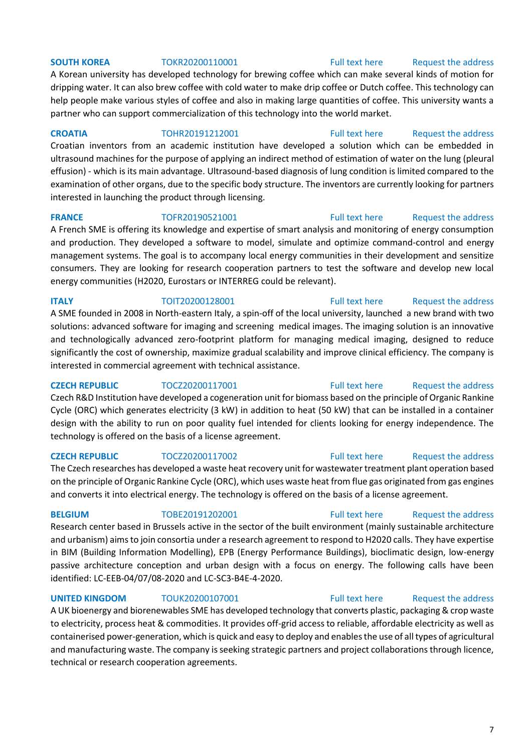### **SOUTH KOREA** TOKR20200110001 [Full text here](https://een.ec.europa.eu/tools/services/PRO/Profile/Detail/d9a409ba-fbeb-4720-be71-1dd0d2477ee8) Request the address

A Korean university has developed technology for brewing coffee which can make several kinds of motion for dripping water. It can also brew coffee with cold water to make drip coffee or Dutch coffee. This technology can help people make various styles of coffee and also in making large quantities of coffee. This university wants a partner who can support commercialization of this technology into the world market.

**CROATIA** TOHR20191212001 [Full text here](https://een.ec.europa.eu/tools/services/PRO/Profile/Detail/722da78d-2499-4023-934e-7308a341a292) [Request the address](http://www.een.bg/index.php?option=com_rsform&formId=13)  Croatian inventors from an academic institution have developed a solution which can be embedded in ultrasound machines for the purpose of applying an indirect method of estimation of water on the lung (pleural effusion) - which is its main advantage. Ultrasound-based diagnosis of lung condition is limited compared to the examination of other organs, due to the specific body structure. The inventors are currently looking for partners interested in launching the product through licensing.

A French SME is offering its knowledge and expertise of smart analysis and monitoring of energy consumption and production. They developed a software to model, simulate and optimize command-control and energy management systems. The goal is to accompany local energy communities in their development and sensitize consumers. They are looking for research cooperation partners to test the software and develop new local energy communities (H2020, Eurostars or INTERREG could be relevant).

### **ITALY TOIT20200128001 Full text here** Request the address A SME founded in 2008 in North-eastern Italy, a spin-off of the local university, launched a new brand with two solutions: advanced software for imaging and screening medical images. The imaging solution is an innovative and technologically advanced zero-footprint platform for managing medical imaging, designed to reduce significantly the cost of ownership, maximize gradual scalability and improve clinical efficiency. The company is interested in commercial agreement with technical assistance.

**CZECH REPUBLIC** TOCZ20200117001 [Full text here](https://een.ec.europa.eu/tools/services/PRO/Profile/Detail/ef24a95a-a25c-4b36-9d2a-71cb86127e5c) Request the address Czech R&D Institution have developed a cogeneration unit for biomass based on the principle of Organic Rankine Cycle (ORC) which generates electricity (3 kW) in addition to heat (50 kW) that can be installed in a container design with the ability to run on poor quality fuel intended for clients looking for energy independence. The technology is offered on the basis of a license agreement.

The Czech researches has developed a waste heat recovery unit for wastewater treatment plant operation based on the principle of Organic Rankine Cycle (ORC), which uses waste heat from flue gas originated from gas engines and converts it into electrical energy. The technology is offered on the basis of a license agreement.

Research center based in Brussels active in the sector of the built environment (mainly sustainable architecture and urbanism) aims to join consortia under a research agreement to respond to H2020 calls. They have expertise in BIM (Building Information Modelling), EPB (Energy Performance Buildings), bioclimatic design, low-energy passive architecture conception and urban design with a focus on energy. The following calls have been identified: LC-EEB-04/07/08-2020 and LC-SC3-B4E-4-2020.

**UNITED KINGDOM** TOUK20200107001 [Full text here](https://een.ec.europa.eu/tools/services/PRO/Profile/Detail/e19bd820-567f-467f-b15a-cb6f380720df) Request the address A UK bioenergy and biorenewables SME has developed technology that converts plastic, packaging & crop waste to electricity, process heat & commodities. It provides off-grid access to reliable, affordable electricity as well as containerised power-generation, which is quick and easy to deploy and enables the use of all types of agricultural and manufacturing waste. The company is seeking strategic partners and project collaborations through licence, technical or research cooperation agreements.

# 7

**FRANCE** TOFR20190521001 [Full text here](https://een.ec.europa.eu/tools/services/PRO/Profile/Detail/2f8da9af-943e-489f-9d2c-c58af9c85e27) Request the address

# **CZECH REPUBLIC** TOCZ20200117002 [Full text here](https://een.ec.europa.eu/tools/services/PRO/Profile/Detail/d285bfef-6c4d-4c12-8da6-35f7e41367f8) [Request the address](http://www.een.bg/index.php?option=com_rsform&formId=13)

**BELGIUM** TOBE20191202001 [Full text here](https://een.ec.europa.eu/tools/services/PRO/Profile/Detail/ad45adbe-d48e-43b3-b2a5-f7ca28a7d4c5) Request the address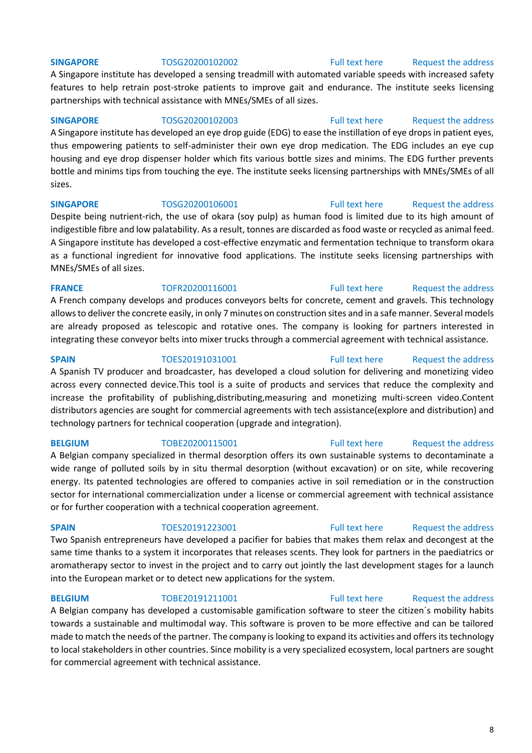### **SINGAPORE** TOSG20200102002 [Full text here](https://een.ec.europa.eu/tools/services/PRO/Profile/Detail/1d6389cc-f907-4ecf-b170-f3c80b7c635e) Request the address

A Singapore institute has developed a sensing treadmill with automated variable speeds with increased safety features to help retrain post-stroke patients to improve gait and endurance. The institute seeks licensing partnerships with technical assistance with MNEs/SMEs of all sizes.

### **SINGAPORE** TOSG20200102003 [Full text here](https://een.ec.europa.eu/tools/services/PRO/Profile/Detail/45d6d4e7-8323-4da9-8605-1d3db5455664) Request the address

A Singapore institute has developed an eye drop guide (EDG) to ease the instillation of eye drops in patient eyes, thus empowering patients to self-administer their own eye drop medication. The EDG includes an eye cup housing and eye drop dispenser holder which fits various bottle sizes and minims. The EDG further prevents bottle and minims tips from touching the eye. The institute seeks licensing partnerships with MNEs/SMEs of all sizes.

### **SINGAPORE** TOSG20200106001 [Full text here](https://een.ec.europa.eu/tools/services/PRO/Profile/Detail/06b1d41a-fd48-47dd-a440-876445b53ab0) Request the address

Despite being nutrient-rich, the use of okara (soy pulp) as human food is limited due to its high amount of indigestible fibre and low palatability. As a result, tonnes are discarded as food waste or recycled as animal feed. A Singapore institute has developed a cost-effective enzymatic and fermentation technique to transform okara as a functional ingredient for innovative food applications. The institute seeks licensing partnerships with MNEs/SMEs of all sizes.

### **FRANCE** TOFR20200116001 [Full text here](https://een.ec.europa.eu/tools/services/PRO/Profile/Detail/e3ecb7c0-5984-4af5-8165-5532cfed40b5) Request the address

A French company develops and produces conveyors belts for concrete, cement and gravels. This technology allows to deliver the concrete easily, in only 7 minutes on construction sites and in a safe manner. Several models are already proposed as telescopic and rotative ones. The company is looking for partners interested in integrating these conveyor belts into mixer trucks through a commercial agreement with technical assistance.

A Spanish TV producer and broadcaster, has developed a cloud solution for delivering and monetizing video across every connected device.This tool is a suite of products and services that reduce the complexity and increase the profitability of publishing,distributing,measuring and monetizing multi-screen video.Content distributors agencies are sought for commercial agreements with tech assistance(explore and distribution) and technology partners for technical cooperation (upgrade and integration).

### **BELGIUM** TOBE20200115001 [Full text here](https://een.ec.europa.eu/tools/services/PRO/Profile/Detail/64880bdb-bcd4-4b03-8cdb-fccb4e999415) Request the address A Belgian company specialized in thermal desorption offers its own sustainable systems to decontaminate a wide range of polluted soils by in situ thermal desorption (without excavation) or on site, while recovering energy. Its patented technologies are offered to companies active in soil remediation or in the construction sector for international commercialization under a license or commercial agreement with technical assistance or for further cooperation with a technical cooperation agreement.

### **SPAIN** TOES20191223001 [Full text here](https://een.ec.europa.eu/tools/services/PRO/Profile/Detail/c7cb90fb-fecb-44b2-a242-0ea949e4b252) Request the address

Two Spanish entrepreneurs have developed a pacifier for babies that makes them relax and decongest at the same time thanks to a system it incorporates that releases scents. They look for partners in the paediatrics or aromatherapy sector to invest in the project and to carry out jointly the last development stages for a launch into the European market or to detect new applications for the system.

### **BELGIUM** TOBE20191211001 [Full text here](https://een.ec.europa.eu/tools/services/PRO/Profile/Detail/141cdc71-945c-4119-ba0c-cf259119c8a6) Request the address

A Belgian company has developed a customisable gamification software to steer the citizen´s mobility habits towards a sustainable and multimodal way. This software is proven to be more effective and can be tailored made to match the needs of the partner. The company is looking to expand its activities and offers its technology to local stakeholders in other countries. Since mobility is a very specialized ecosystem, local partners are sought for commercial agreement with technical assistance.

8

### **SPAIN** TOES20191031001 [Full text here](https://een.ec.europa.eu/tools/services/PRO/Profile/Detail/0ddb059f-3099-4691-b416-44482cfd8297) Request the address